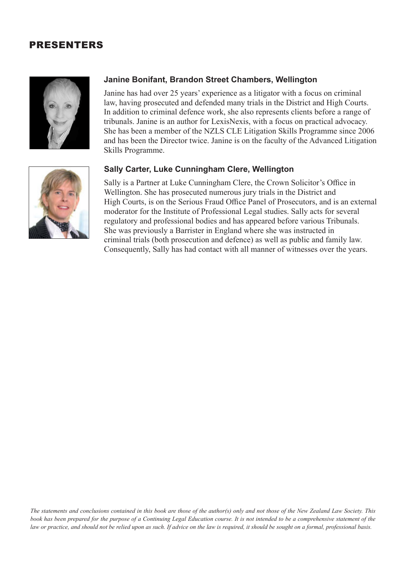## PRESENTERS



## **Janine Bonifant, Brandon Street Chambers, Wellington**

Janine has had over 25 years' experience as a litigator with a focus on criminal law, having prosecuted and defended many trials in the District and High Courts. In addition to criminal defence work, she also represents clients before a range of tribunals. Janine is an author for LexisNexis, with a focus on practical advocacy. She has been a member of the NZLS CLE Litigation Skills Programme since 2006 and has been the Director twice. Janine is on the faculty of the Advanced Litigation Skills Programme.

## **Sally Carter, Luke Cunningham Clere, Wellington**

Sally is a Partner at Luke Cunningham Clere, the Crown Solicitor's Office in Wellington. She has prosecuted numerous jury trials in the District and High Courts, is on the Serious Fraud Office Panel of Prosecutors, and is an external moderator for the Institute of Professional Legal studies. Sally acts for several regulatory and professional bodies and has appeared before various Tribunals. She was previously a Barrister in England where she was instructed in criminal trials (both prosecution and defence) as well as public and family law. Consequently, Sally has had contact with all manner of witnesses over the years.



*The statements and conclusions contained in this book are those of the author(s) only and not those of the New Zealand Law Society. This book has been prepared for the purpose of a Continuing Legal Education course. It is not intended to be a comprehensive statement of the law or practice, and should not be relied upon as such. If advice on the law is required, it should be sought on a formal, professional basis.*